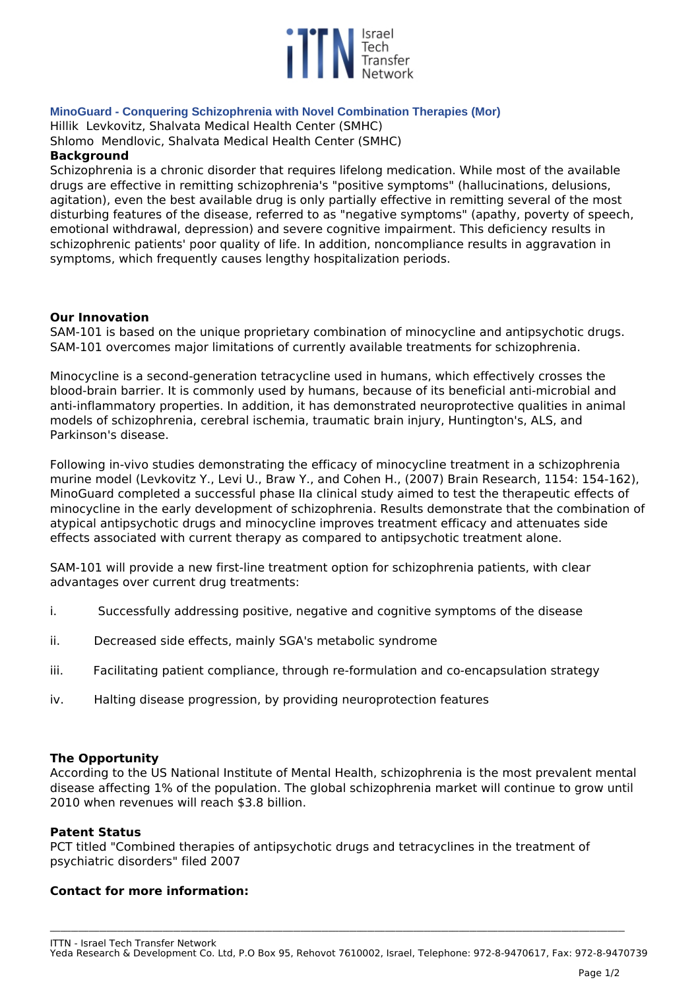

# **MinoGuard - Conquering Schizophrenia with Novel Combination Therapies (Mor)**

*Hillik Levkovitz, Shalvata Medical Health Center (SMHC)*

*Shlomo Mendlovic, Shalvata Medical Health Center (SMHC)*

# **Background**

*Schizophrenia is a chronic disorder that requires lifelong medication. While most of the available drugs are effective in remitting schizophrenia's "positive symptoms" (hallucinations, delusions, agitation), even the best available drug is only partially effective in remitting several of the most disturbing features of the disease, referred to as "negative symptoms" (apathy, poverty of speech, emotional withdrawal, depression) and severe cognitive impairment. This deficiency results in schizophrenic patients' poor quality of life. In addition, noncompliance results in aggravation in symptoms, which frequently causes lengthy hospitalization periods.* 

# **Our Innovation**

*SAM-101 is based on the unique proprietary combination of minocycline and antipsychotic drugs. SAM-101 overcomes major limitations of currently available treatments for schizophrenia.*

*Minocycline is a second-generation tetracycline used in humans, which effectively crosses the blood-brain barrier. It is commonly used by humans, because of its beneficial anti-microbial and anti-inflammatory properties. In addition, it has demonstrated neuroprotective qualities in animal models of schizophrenia, cerebral ischemia, traumatic brain injury, Huntington's, ALS, and Parkinson's disease.* 

*Following in-vivo studies demonstrating the efficacy of minocycline treatment in a schizophrenia murine model (Levkovitz Y., Levi U., Braw Y., and Cohen H., (2007) Brain Research, 1154: 154-162), MinoGuard completed a successful phase IIa clinical study aimed to test the therapeutic effects of minocycline in the early development of schizophrenia. Results demonstrate that the combination of atypical antipsychotic drugs and minocycline improves treatment efficacy and attenuates side effects associated with current therapy as compared to antipsychotic treatment alone.*

*SAM-101 will provide a new first-line treatment option for schizophrenia patients, with clear advantages over current drug treatments:*

- *i. Successfully addressing positive, negative and cognitive symptoms of the disease*
- *ii. Decreased side effects, mainly SGA's metabolic syndrome*
- *iii. Facilitating patient compliance, through re-formulation and co-encapsulation strategy*
- *iv. Halting disease progression, by providing neuroprotection features*

### **The Opportunity**

*According to the US National Institute of Mental Health, schizophrenia is the most prevalent mental disease affecting 1% of the population. The global schizophrenia market will continue to grow until 2010 when revenues will reach \$3.8 billion.* 

### **Patent Status**

*PCT titled "Combined therapies of antipsychotic drugs and tetracyclines in the treatment of psychiatric disorders" filed 2007*

### **Contact for more information:**

**\_\_\_\_\_\_\_\_\_\_\_\_\_\_\_\_\_\_\_\_\_\_\_\_\_\_\_\_\_\_\_\_\_\_\_\_\_\_\_\_\_\_\_\_\_\_\_\_\_\_\_\_\_\_\_\_\_\_\_\_\_\_\_\_\_\_\_\_\_\_\_\_\_\_\_\_\_\_\_\_\_\_\_\_\_\_\_\_\_\_\_\_\_\_\_\_\_\_\_\_\_\_\_\_\_\_\_\_\_\_\_\_\_\_\_\_\_\_\_\_\_\_\_\_\_\_\_\_\_\_\_\_\_\_\_\_\_\_\_\_\_\_\_\_\_\_\_\_\_\_\_\_\_\_\_\_\_\_\_\_\_\_\_**